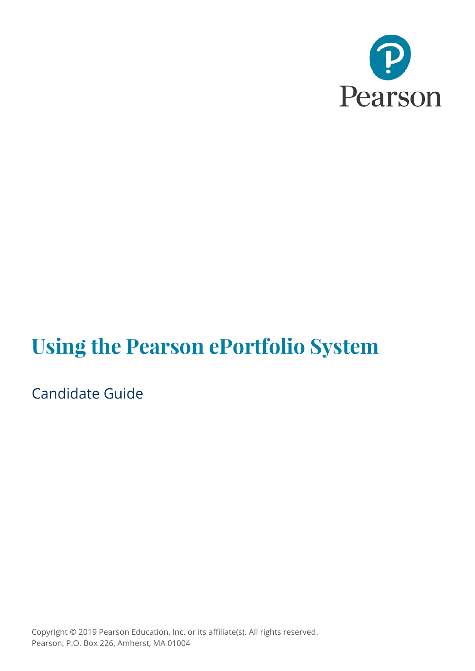

# **Using the Pearson ePortfolio System**

Candidate Guide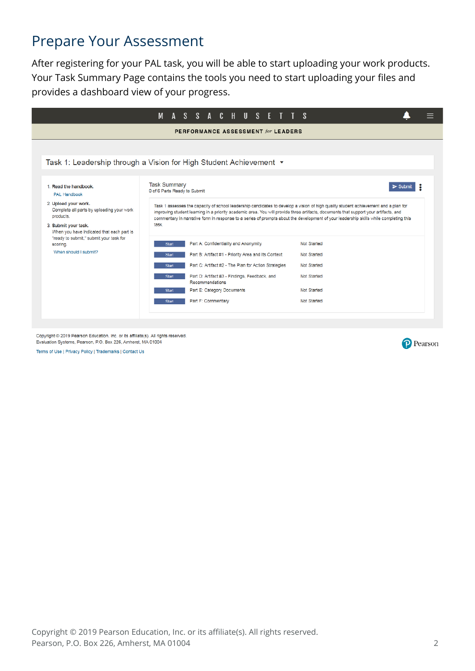#### Prepare Your Assessment

After registering for your PAL task, you will be able to start uploading your work products. Your Task Summary Page contains the tools you need to start uploading your files and provides a dashboard view of your progress.

|                                                                                                                                                                                              | M<br>A                                                                                                                                                                                                                                                                                                                                                                                                                                                                               |  | SSACHUS                                                                                                                                                                                                                                                                      |  |  |  |  | F. |  |                                                                                        |  |
|----------------------------------------------------------------------------------------------------------------------------------------------------------------------------------------------|--------------------------------------------------------------------------------------------------------------------------------------------------------------------------------------------------------------------------------------------------------------------------------------------------------------------------------------------------------------------------------------------------------------------------------------------------------------------------------------|--|------------------------------------------------------------------------------------------------------------------------------------------------------------------------------------------------------------------------------------------------------------------------------|--|--|--|--|----|--|----------------------------------------------------------------------------------------|--|
|                                                                                                                                                                                              |                                                                                                                                                                                                                                                                                                                                                                                                                                                                                      |  | PERFORMANCE ASSESSMENT for LEADERS                                                                                                                                                                                                                                           |  |  |  |  |    |  |                                                                                        |  |
|                                                                                                                                                                                              |                                                                                                                                                                                                                                                                                                                                                                                                                                                                                      |  |                                                                                                                                                                                                                                                                              |  |  |  |  |    |  |                                                                                        |  |
| Task 1: Leadership through a Vision for High Student Achievement $\star$                                                                                                                     |                                                                                                                                                                                                                                                                                                                                                                                                                                                                                      |  |                                                                                                                                                                                                                                                                              |  |  |  |  |    |  |                                                                                        |  |
| 1. Read the handbook.<br>PAL Handbook<br>2. Upload your work.<br>Complete all parts by uploading your work<br>products.<br>3. Submit your task.<br>When you have indicated that each part is | <b>Task Summary</b><br>0 of 6 Parts Ready to Submit<br>Task 1 assesses the capacity of school leadership candidates to develop a vision of high quality student achievement and a plan for<br>improving student learning in a priority academic area. You will provide three artifacts, documents that support your artifacts, and<br>commentary in narrative form in response to a series of prompts about the development of your leadership skills while completing this<br>task. |  |                                                                                                                                                                                                                                                                              |  |  |  |  |    |  |                                                                                        |  |
| "ready to submit," submit your task for<br>scoring.<br>When should I submit?                                                                                                                 | <b>Start</b><br><b>Start</b><br><b>Start</b><br><b>Start</b><br><b>Start</b><br><b>Start</b>                                                                                                                                                                                                                                                                                                                                                                                         |  | Part A: Confidentiality and Anonymity<br>Part B: Artifact #1 - Priority Area and Its Context<br>Part C: Artifact #2 - The Plan for Action Strategies<br>Part D: Artifact #3 - Findings, Feedback, and<br>Recommendations<br>Part E: Category Documents<br>Part F: Commentary |  |  |  |  |    |  | Not Started<br>Not Started<br>Not Started<br>Not Started<br>Not Started<br>Not Started |  |

Copyright @ 2019 Pearson Education, Inc. or its affiliate(s). All rights reserved. Evaluation Systems, Pearson, P.O. Box 226, Amherst, MA 01004

Terms of Use | Privacy Policy | Trademarks | Contact Us

P Pearson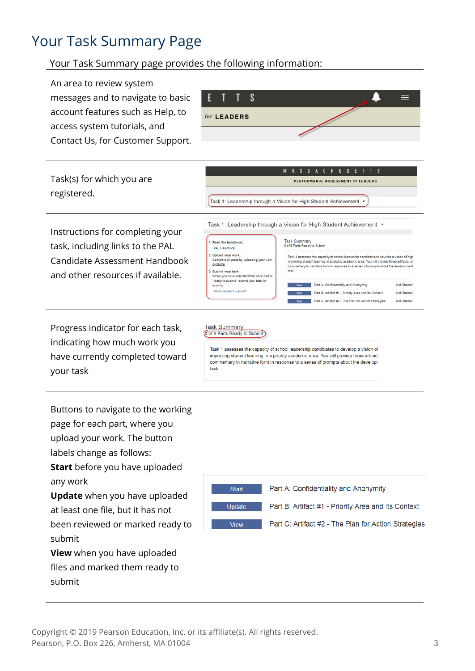### Your Task Summary Page

#### Your Task Summary page provides the following information:

An area to review system S messages and to navigate to basic  $=$ account features such as Help, to for LEADERS access system tutorials, and Contact Us, for Customer Support. A S S A C H U S E T  $T$  $\overline{\mathbf{S}}$ Task(s) for which you are PERFORMANCE ASSESSMENT for LEADERS registered. Task 1: Leadership through a Vision for High Student Achievement . Task 1: Leadership through a Vision for High Student Achievement ▼ Instructions for completing your Task Summary<br>0 of 6 Parts Ready to Submit 1. Read the handbook task, including links to the PAL PAL Handbook 2. Upload your work.<br>Complete all parts by uploading your<br>products. Task 1 assesses the capacity of school leadership candidates to develop a vision of high<br>Improving student learning in a priority academic area. You will provide three artifacts, ds<br>commentary in narrative form in response Candidate Assessment Handbook .<br>3. **Submit your task.**<br>When you have indicated that each part is and other resources if available. "ready to submit," submit your task fo Start Part A: Confidentiality and Anonymity Not Started scoring When should I submit? Not Started Part B: Artifact #1 - Priority Area and Its Context Start Part C: Artifact #2 - The Plan for Action Strategies Not Started

Progress indicator for each task, indicating how much work you have currently completed toward your task

#### Task Summary<br>
(0 of 6 Parts Ready to Submit)

Task 1 assesses the capacity of school leadership candidates to develop a vision of improving student learning in a priority academic area. You will provide three artifact commentary in narrative form in response to a series of prompts about the developr task

Buttons to navigate to the working page for each part, where you upload your work. The button labels change as follows: **Start** before you have uploaded any work

**Update** when you have uploaded at least one file, but it has not been reviewed or marked ready to submit

**View** when you have uploaded files and marked them ready to submit

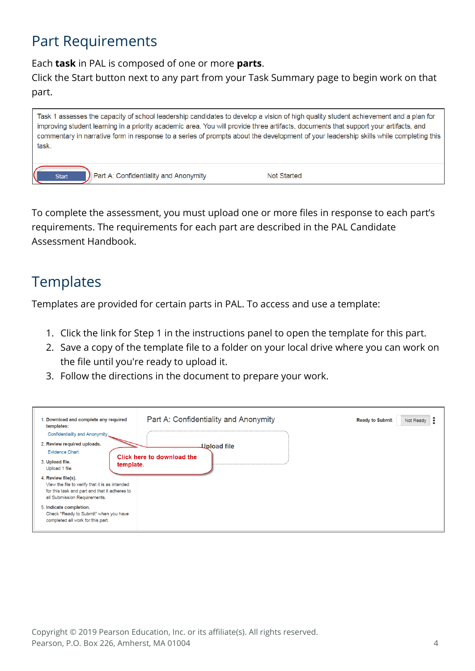### Part Requirements

Each **task** in PAL is composed of one or more **parts**.

Click the Start button next to any part from your Task Summary page to begin work on that part.



To complete the assessment, you must upload one or more files in response to each part's requirements. The requirements for each part are described in the PAL Candidate Assessment Handbook.

### **Templates**

Templates are provided for certain parts in PAL. To access and use a template:

- 1. Click the link for Step 1 in the instructions panel to open the template for this part.
- 2. Save a copy of the template file to a folder on your local drive where you can work on the file until you're ready to upload it.
- 3. Follow the directions in the document to prepare your work.

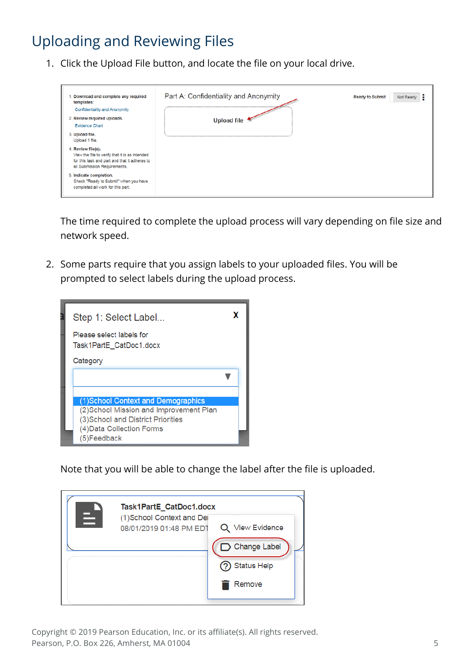# Uploading and Reviewing Files

1. Click the Upload File button, and locate the file on your local drive.

| 1. Download and complete any required<br>templates:<br>Confidentiality and Anonymity<br>2. Review required uploads.<br><b>Evidence Chart</b>          | Part A: Confidentiality and Anonymity<br>1.00000000<br>Upload file | <b>Ready to Submit</b><br>Not Ready<br>$\bullet$ |
|-------------------------------------------------------------------------------------------------------------------------------------------------------|--------------------------------------------------------------------|--------------------------------------------------|
| 3. Upload file.<br>Upload 1 file.                                                                                                                     |                                                                    |                                                  |
| 4. Review file(s).<br>View the file to verify that it is as intended<br>for this task and part and that it adheres to<br>all Submission Requirements. |                                                                    |                                                  |
| 5. Indicate completion.<br>Check "Ready to Submit" when you have<br>completed all work for this part.                                                 |                                                                    |                                                  |

The time required to complete the upload process will vary depending on file size and network speed.

2. Some parts require that you assign labels to your uploaded files. You will be prompted to select labels during the upload process.



Note that you will be able to change the label after the file is uploaded.

|   | Task1PartE CatDoc1.docx                                                 |  |
|---|-------------------------------------------------------------------------|--|
| Ξ | (1)School Context and Dei<br>Q View Evidence<br>08/01/2019 01:48 PM EDT |  |
|   | □ Change Label                                                          |  |
|   | <b>Status Help</b>                                                      |  |
|   | Remove                                                                  |  |
|   |                                                                         |  |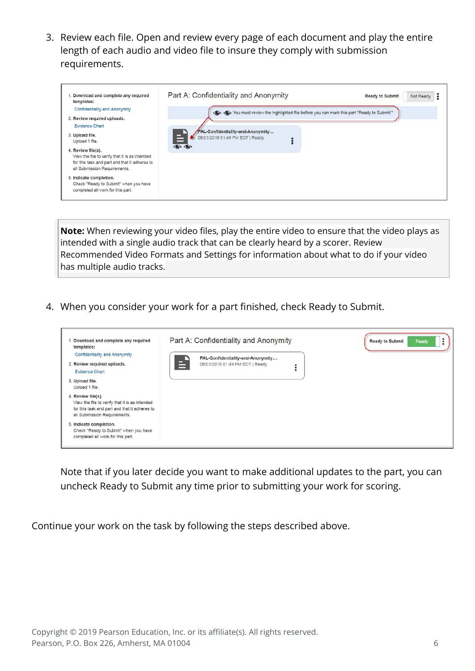3. Review each file. Open and review every page of each document and play the entire length of each audio and video file to insure they comply with submission requirements.



**Note:** When reviewing your video files, play the entire video to ensure that the video plays as intended with a single audio track that can be clearly heard by a scorer. Review [Recommended Video Formats](http://www.ma-pal.nesinc.com/Content/Docs/RecommendedVideoFormatsandSettings.pdf) and Settings for information about what to do if your video has multiple audio tracks.

4. When you consider your work for a part finished, check Ready to Submit.



Note that if you later decide you want to make additional updates to the part, you can uncheck Ready to Submit any time prior to submitting your work for scoring.

Continue your work on the task by following the steps described above.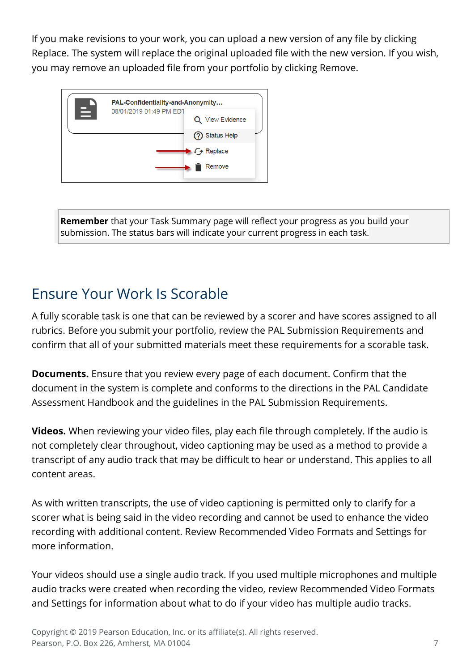If you make revisions to your work, you can upload a new version of any file by clicking Replace. The system will replace the original uploaded file with the new version. If you wish, you may remove an uploaded file from your portfolio by clicking Remove.



**Remember** that your Task Summary page will reflect your progress as you build your submission. The status bars will indicate your current progress in each task.

# Ensure Your Work Is Scorable

A fully scorable task is one that can be reviewed by a scorer and have scores assigned to all rubrics. Before you submit your portfolio, review the PAL Submission Requirements and confirm that all of your submitted materials meet these requirements for a scorable task.

**Documents.** Ensure that you review every page of each document. Confirm that the document in the system is complete and conforms to the directions in the PAL Candidate Assessment Handbook and the guidelines in the PAL Submission Requirements.

**Videos.** When reviewing your video files, play each file through completely. If the audio is not completely clear throughout, video captioning may be used as a method to provide a transcript of any audio track that may be difficult to hear or understand. This applies to all content areas.

As with written transcripts, the use of video captioning is permitted only to clarify for a scorer what is being said in the video recording and cannot be used to enhance the video recording with additional content. Review Recommended Video Formats and Settings for more information.

Your videos should use a single audio track. If you used multiple microphones and multiple audio tracks were created when recording the video, review Recommended Video Formats and Settings for information about what to do if your video has multiple audio tracks.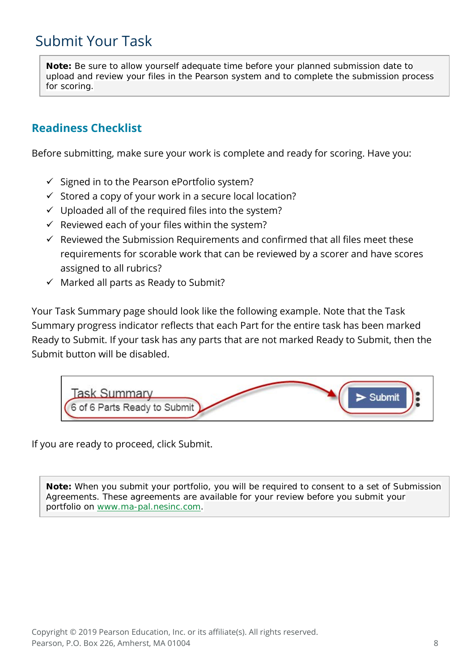#### Submit Your Task

**Note:** Be sure to allow yourself adequate time before your planned submission date to upload and review your files in the Pearson system and to complete the submission process for scoring.

#### **Readiness Checklist**

Before submitting, make sure your work is complete and ready for scoring. Have you:

- $\checkmark$  Signed in to the Pearson ePortfolio system?
- $\checkmark$  Stored a copy of your work in a secure local location?
- $\checkmark$  Uploaded all of the required files into the system?
- $\checkmark$  Reviewed each of your files within the system?
- $\checkmark$  Reviewed the Submission Requirements and confirmed that all files meet these requirements for scorable work that can be reviewed by a scorer and have scores assigned to all rubrics?
- $\checkmark$  Marked all parts as Ready to Submit?

Your Task Summary page should look like the following example. Note that the Task Summary progress indicator reflects that each Part for the entire task has been marked Ready to Submit. If your task has any parts that are not marked Ready to Submit, then the Submit button will be disabled.



If you are ready to proceed, click Submit.

**Note:** When you submit your portfolio, you will be required to consent to a set of Submission Agreements. These agreements are available for your review before you submit your portfolio on [www.ma-pal.nesinc.com.](http://www.ma-pal.nesinc.com/)